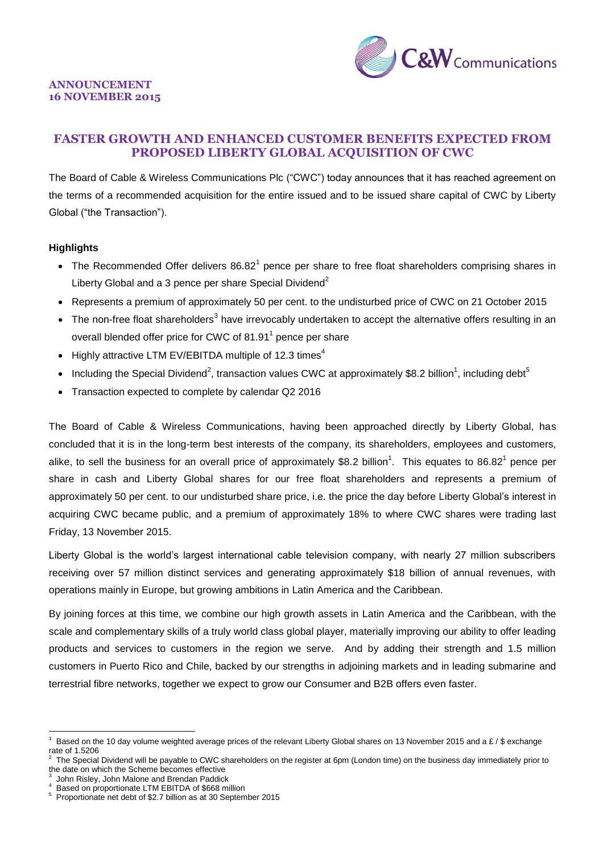

# **FASTER GROWTH AND ENHANCED CUSTOMER BENEFITS EXPECTED FROM PROPOSED LIBERTY GLOBAL ACQUISITION OF CWC**

The Board of Cable & Wireless Communications Plc ("CWC") today announces that it has reached agreement on the terms of a recommended acquisition for the entire issued and to be issued share capital of CWC by Liberty Global ("the Transaction").

## **Highlights**

- The Recommended Offer delivers  $86.82<sup>1</sup>$  pence per share to free float shareholders comprising shares in Liberty Global and a 3 pence per share Special Dividend<sup>2</sup>
- Represents a premium of approximately 50 per cent. to the undisturbed price of CWC on 21 October 2015
- The non-free float shareholders<sup>3</sup> have irrevocably undertaken to accept the alternative offers resulting in an overall blended offer price for CWC of 81.91 $^1$  pence per share
- $\bullet$  Highly attractive LTM EV/EBITDA multiple of 12.3 times<sup>4</sup>
- Including the Special Dividend<sup>2</sup>, transaction values CWC at approximately \$8.2 billion<sup>1</sup>, including debt<sup>5</sup>
- Transaction expected to complete by calendar Q2 2016

The Board of Cable & Wireless Communications, having been approached directly by Liberty Global, has concluded that it is in the long-term best interests of the company, its shareholders, employees and customers, alike, to sell the business for an overall price of approximately \$8.2 billion<sup>1</sup>. This equates to 86.82<sup>1</sup> pence per share in cash and Liberty Global shares for our free float shareholders and represents a premium of approximately 50 per cent. to our undisturbed share price, i.e. the price the day before Liberty Global's interest in acquiring CWC became public, and a premium of approximately 18% to where CWC shares were trading last Friday, 13 November 2015.

Liberty Global is the world's largest international cable television company, with nearly 27 million subscribers receiving over 57 million distinct services and generating approximately \$18 billion of annual revenues, with operations mainly in Europe, but growing ambitions in Latin America and the Caribbean.

By joining forces at this time, we combine our high growth assets in Latin America and the Caribbean, with the scale and complementary skills of a truly world class global player, materially improving our ability to offer leading products and services to customers in the region we serve. And by adding their strength and 1.5 million customers in Puerto Rico and Chile, backed by our strengths in adjoining markets and in leading submarine and terrestrial fibre networks, together we expect to grow our Consumer and B2B offers even faster.

<sup>1</sup> Based on the 10 day volume weighted average prices of the relevant Liberty Global shares on 13 November 2015 and a £ / \$ exchange rate of 1.5206

<sup>2</sup> The Special Dividend will be payable to CWC shareholders on the register at 6pm (London time) on the business day immediately prior to the date on which the Scheme becomes effective

<sup>3</sup> John Risley, John Malone and Brendan Paddick

<sup>4</sup> Based on proportionate LTM EBITDA of \$668 million

<sup>5</sup> Proportionate net debt of \$2.7 billion as at 30 September 2015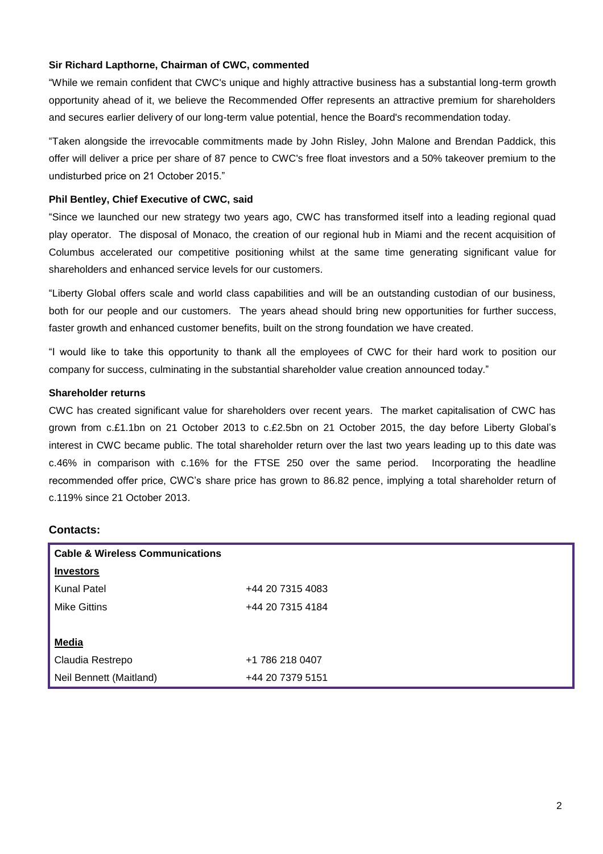# **Sir Richard Lapthorne, Chairman of CWC, commented**

"While we remain confident that CWC's unique and highly attractive business has a substantial long-term growth opportunity ahead of it, we believe the Recommended Offer represents an attractive premium for shareholders and secures earlier delivery of our long-term value potential, hence the Board's recommendation today.

"Taken alongside the irrevocable commitments made by John Risley, John Malone and Brendan Paddick, this offer will deliver a price per share of 87 pence to CWC's free float investors and a 50% takeover premium to the undisturbed price on 21 October 2015."

# **Phil Bentley, Chief Executive of CWC, said**

"Since we launched our new strategy two years ago, CWC has transformed itself into a leading regional quad play operator. The disposal of Monaco, the creation of our regional hub in Miami and the recent acquisition of Columbus accelerated our competitive positioning whilst at the same time generating significant value for shareholders and enhanced service levels for our customers.

"Liberty Global offers scale and world class capabilities and will be an outstanding custodian of our business, both for our people and our customers. The years ahead should bring new opportunities for further success, faster growth and enhanced customer benefits, built on the strong foundation we have created.

"I would like to take this opportunity to thank all the employees of CWC for their hard work to position our company for success, culminating in the substantial shareholder value creation announced today."

## **Shareholder returns**

CWC has created significant value for shareholders over recent years. The market capitalisation of CWC has grown from c.£1.1bn on 21 October 2013 to c.£2.5bn on 21 October 2015, the day before Liberty Global's interest in CWC became public. The total shareholder return over the last two years leading up to this date was c.46% in comparison with c.16% for the FTSE 250 over the same period. Incorporating the headline recommended offer price, CWC's share price has grown to 86.82 pence, implying a total shareholder return of c.119% since 21 October 2013.

# **Contacts:**

| <b>Cable &amp; Wireless Communications</b> |                  |
|--------------------------------------------|------------------|
| <b>Investors</b>                           |                  |
| <b>Kunal Patel</b>                         | +44 20 7315 4083 |
| <b>Mike Gittins</b>                        | +44 20 7315 4184 |
|                                            |                  |
| <b>Media</b>                               |                  |
| Claudia Restrepo                           | +1 786 218 0407  |
| Neil Bennett (Maitland)                    | +44 20 7379 5151 |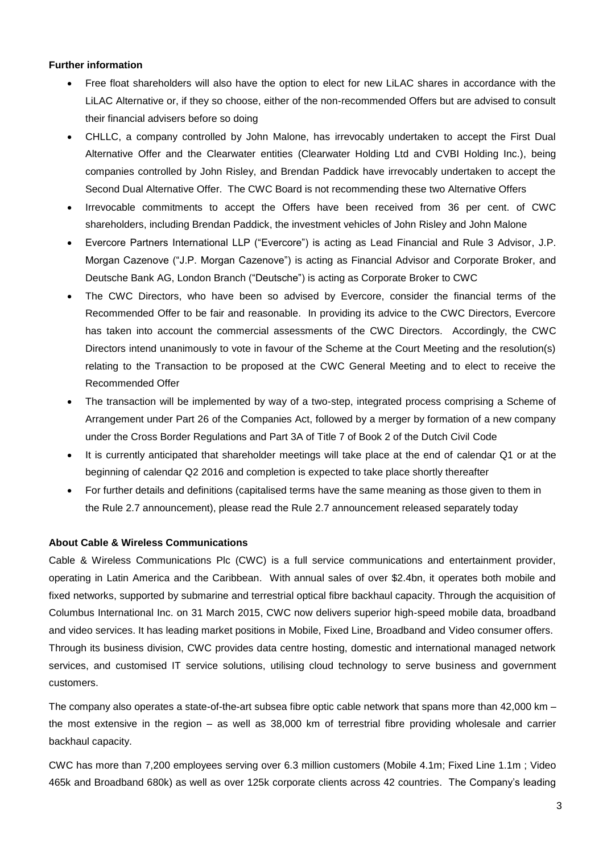# **Further information**

- Free float shareholders will also have the option to elect for new LiLAC shares in accordance with the LiLAC Alternative or, if they so choose, either of the non-recommended Offers but are advised to consult their financial advisers before so doing
- CHLLC, a company controlled by John Malone, has irrevocably undertaken to accept the First Dual Alternative Offer and the Clearwater entities (Clearwater Holding Ltd and CVBI Holding Inc.), being companies controlled by John Risley, and Brendan Paddick have irrevocably undertaken to accept the Second Dual Alternative Offer. The CWC Board is not recommending these two Alternative Offers
- Irrevocable commitments to accept the Offers have been received from 36 per cent. of CWC shareholders, including Brendan Paddick, the investment vehicles of John Risley and John Malone
- Evercore Partners International LLP ("Evercore") is acting as Lead Financial and Rule 3 Advisor, J.P. Morgan Cazenove ("J.P. Morgan Cazenove") is acting as Financial Advisor and Corporate Broker, and Deutsche Bank AG, London Branch ("Deutsche") is acting as Corporate Broker to CWC
- The CWC Directors, who have been so advised by Evercore, consider the financial terms of the Recommended Offer to be fair and reasonable. In providing its advice to the CWC Directors, Evercore has taken into account the commercial assessments of the CWC Directors. Accordingly, the CWC Directors intend unanimously to vote in favour of the Scheme at the Court Meeting and the resolution(s) relating to the Transaction to be proposed at the CWC General Meeting and to elect to receive the Recommended Offer
- The transaction will be implemented by way of a two-step, integrated process comprising a Scheme of Arrangement under Part 26 of the Companies Act, followed by a merger by formation of a new company under the Cross Border Regulations and Part 3A of Title 7 of Book 2 of the Dutch Civil Code
- It is currently anticipated that shareholder meetings will take place at the end of calendar Q1 or at the beginning of calendar Q2 2016 and completion is expected to take place shortly thereafter
- For further details and definitions (capitalised terms have the same meaning as those given to them in the Rule 2.7 announcement), please read the Rule 2.7 announcement released separately today

## **About Cable & Wireless Communications**

Cable & Wireless Communications Plc (CWC) is a full service communications and entertainment provider, operating in Latin America and the Caribbean. With annual sales of over \$2.4bn, it operates both mobile and fixed networks, supported by submarine and terrestrial optical fibre backhaul capacity. Through the acquisition of Columbus International Inc. on 31 March 2015, CWC now delivers superior high-speed mobile data, broadband and video services. It has leading market positions in Mobile, Fixed Line, Broadband and Video consumer offers. Through its business division, CWC provides data centre hosting, domestic and international managed network services, and customised IT service solutions, utilising cloud technology to serve business and government customers.

The company also operates a state-of-the-art subsea fibre optic cable network that spans more than 42,000 km – the most extensive in the region – as well as 38,000 km of terrestrial fibre providing wholesale and carrier backhaul capacity.

CWC has more than 7,200 employees serving over 6.3 million customers (Mobile 4.1m; Fixed Line 1.1m ; Video 465k and Broadband 680k) as well as over 125k corporate clients across 42 countries. The Company's leading